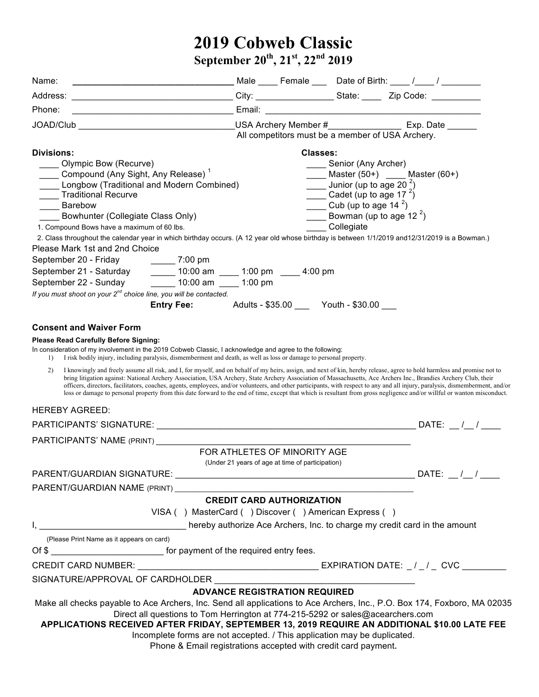## **2019 Cobweb Classic September 20th, 21st, 22nd 2019**

| ____________________________________Male _____ Female ____ Date of Birth: ____ /_____ / _________<br>Name:                                                                                                                                                                                                                                                                                                                                                                                                                                                                                                                                                                                                      |                                                                                                                                                            |                                  |                                                                                                                          |                                                  |  |  |
|-----------------------------------------------------------------------------------------------------------------------------------------------------------------------------------------------------------------------------------------------------------------------------------------------------------------------------------------------------------------------------------------------------------------------------------------------------------------------------------------------------------------------------------------------------------------------------------------------------------------------------------------------------------------------------------------------------------------|------------------------------------------------------------------------------------------------------------------------------------------------------------|----------------------------------|--------------------------------------------------------------------------------------------------------------------------|--------------------------------------------------|--|--|
|                                                                                                                                                                                                                                                                                                                                                                                                                                                                                                                                                                                                                                                                                                                 |                                                                                                                                                            |                                  |                                                                                                                          |                                                  |  |  |
| Phone:                                                                                                                                                                                                                                                                                                                                                                                                                                                                                                                                                                                                                                                                                                          |                                                                                                                                                            |                                  |                                                                                                                          |                                                  |  |  |
| JOAD/Club Contract Contract Contract COAD USA Archery Member # Exp. Date                                                                                                                                                                                                                                                                                                                                                                                                                                                                                                                                                                                                                                        |                                                                                                                                                            |                                  |                                                                                                                          |                                                  |  |  |
|                                                                                                                                                                                                                                                                                                                                                                                                                                                                                                                                                                                                                                                                                                                 |                                                                                                                                                            |                                  |                                                                                                                          | All competitors must be a member of USA Archery. |  |  |
| Divisions:                                                                                                                                                                                                                                                                                                                                                                                                                                                                                                                                                                                                                                                                                                      |                                                                                                                                                            |                                  |                                                                                                                          | <b>Classes:</b>                                  |  |  |
| __ Olympic Bow (Recurve)                                                                                                                                                                                                                                                                                                                                                                                                                                                                                                                                                                                                                                                                                        |                                                                                                                                                            |                                  | _____ Senior (Any Archer)                                                                                                |                                                  |  |  |
| Compound (Any Sight, Any Release) <sup>1</sup>                                                                                                                                                                                                                                                                                                                                                                                                                                                                                                                                                                                                                                                                  | ____ Master (50+) ____ Master (60+)                                                                                                                        |                                  |                                                                                                                          |                                                  |  |  |
| Longbow (Traditional and Modern Combined)                                                                                                                                                                                                                                                                                                                                                                                                                                                                                                                                                                                                                                                                       | $\frac{1}{2}$ Junior (up to age 20 <sup>2</sup> )<br>Cadet (up to age 17 $^2$ )                                                                            |                                  |                                                                                                                          |                                                  |  |  |
| ____ Traditional Recurve                                                                                                                                                                                                                                                                                                                                                                                                                                                                                                                                                                                                                                                                                        |                                                                                                                                                            |                                  |                                                                                                                          |                                                  |  |  |
| ____ Barebow                                                                                                                                                                                                                                                                                                                                                                                                                                                                                                                                                                                                                                                                                                    |                                                                                                                                                            |                                  | $\frac{1}{\sqrt{1-\frac{1}{2}}}$ Cub (up to age 14 <sup>2</sup> )<br><b>EXECUTE:</b> Bowman (up to age 12 <sup>2</sup> ) |                                                  |  |  |
| Bowhunter (Collegiate Class Only)<br>1. Compound Bows have a maximum of 60 lbs.                                                                                                                                                                                                                                                                                                                                                                                                                                                                                                                                                                                                                                 |                                                                                                                                                            |                                  | Collegiate                                                                                                               |                                                  |  |  |
| 2. Class throughout the calendar year in which birthday occurs. (A 12 year old whose birthday is between 1/1/2019 and 12/31/2019 is a Bowman.)                                                                                                                                                                                                                                                                                                                                                                                                                                                                                                                                                                  |                                                                                                                                                            |                                  |                                                                                                                          |                                                  |  |  |
| Please Mark 1st and 2nd Choice                                                                                                                                                                                                                                                                                                                                                                                                                                                                                                                                                                                                                                                                                  |                                                                                                                                                            |                                  |                                                                                                                          |                                                  |  |  |
| September 20 - Friday _________ 7:00 pm                                                                                                                                                                                                                                                                                                                                                                                                                                                                                                                                                                                                                                                                         |                                                                                                                                                            |                                  |                                                                                                                          |                                                  |  |  |
| September 21 - Saturday ________ 10:00 am _____ 1:00 pm _____ 4:00 pm                                                                                                                                                                                                                                                                                                                                                                                                                                                                                                                                                                                                                                           |                                                                                                                                                            |                                  |                                                                                                                          |                                                  |  |  |
| September 22 - Sunday _________ 10:00 am _____ 1:00 pm                                                                                                                                                                                                                                                                                                                                                                                                                                                                                                                                                                                                                                                          |                                                                                                                                                            |                                  |                                                                                                                          |                                                  |  |  |
| If you must shoot on your $2^{nd}$ choice line, you will be contacted.                                                                                                                                                                                                                                                                                                                                                                                                                                                                                                                                                                                                                                          |                                                                                                                                                            |                                  |                                                                                                                          |                                                  |  |  |
|                                                                                                                                                                                                                                                                                                                                                                                                                                                                                                                                                                                                                                                                                                                 | <b>Entry Fee:</b> Adults - \$35.00 Youth - \$30.00                                                                                                         |                                  |                                                                                                                          |                                                  |  |  |
|                                                                                                                                                                                                                                                                                                                                                                                                                                                                                                                                                                                                                                                                                                                 |                                                                                                                                                            |                                  |                                                                                                                          |                                                  |  |  |
| <b>Consent and Waiver Form</b>                                                                                                                                                                                                                                                                                                                                                                                                                                                                                                                                                                                                                                                                                  |                                                                                                                                                            |                                  |                                                                                                                          |                                                  |  |  |
| <b>Please Read Carefully Before Signing:</b>                                                                                                                                                                                                                                                                                                                                                                                                                                                                                                                                                                                                                                                                    |                                                                                                                                                            |                                  |                                                                                                                          |                                                  |  |  |
| In consideration of my involvement in the 2019 Cobweb Classic, I acknowledge and agree to the following:<br>I risk bodily injury, including paralysis, dismemberment and death, as well as loss or damage to personal property.<br>1)                                                                                                                                                                                                                                                                                                                                                                                                                                                                           |                                                                                                                                                            |                                  |                                                                                                                          |                                                  |  |  |
| I knowingly and freely assume all risk, and I, for myself, and on behalf of my heirs, assign, and next of kin, hereby release, agree to hold harmless and promise not to<br>2)<br>bring litigation against: National Archery Association, USA Archery, State Archery Association of Massachusetts, Ace Archers Inc., Brandies Archery Club, their<br>officers, directors, facilitators, coaches, agents, employees, and/or volunteers, and other participants, with respect to any and all injury, paralysis, dismemberment, and/or<br>loss or damage to personal property from this date forward to the end of time, except that which is resultant from gross negligence and/or willful or wanton misconduct. |                                                                                                                                                            |                                  |                                                                                                                          |                                                  |  |  |
| <b>HEREBY AGREED:</b>                                                                                                                                                                                                                                                                                                                                                                                                                                                                                                                                                                                                                                                                                           |                                                                                                                                                            |                                  |                                                                                                                          |                                                  |  |  |
|                                                                                                                                                                                                                                                                                                                                                                                                                                                                                                                                                                                                                                                                                                                 |                                                                                                                                                            |                                  |                                                                                                                          |                                                  |  |  |
| PARTICIPANTS' NAME (PRINT)                                                                                                                                                                                                                                                                                                                                                                                                                                                                                                                                                                                                                                                                                      |                                                                                                                                                            |                                  |                                                                                                                          |                                                  |  |  |
|                                                                                                                                                                                                                                                                                                                                                                                                                                                                                                                                                                                                                                                                                                                 |                                                                                                                                                            | FOR ATHLETES OF MINORITY AGE     |                                                                                                                          |                                                  |  |  |
|                                                                                                                                                                                                                                                                                                                                                                                                                                                                                                                                                                                                                                                                                                                 | (Under 21 years of age at time of participation)                                                                                                           |                                  |                                                                                                                          |                                                  |  |  |
|                                                                                                                                                                                                                                                                                                                                                                                                                                                                                                                                                                                                                                                                                                                 |                                                                                                                                                            |                                  |                                                                                                                          |                                                  |  |  |
| PARENT/GUARDIAN NAME (PRINT)                                                                                                                                                                                                                                                                                                                                                                                                                                                                                                                                                                                                                                                                                    |                                                                                                                                                            |                                  |                                                                                                                          |                                                  |  |  |
|                                                                                                                                                                                                                                                                                                                                                                                                                                                                                                                                                                                                                                                                                                                 |                                                                                                                                                            | <b>CREDIT CARD AUTHORIZATION</b> |                                                                                                                          |                                                  |  |  |
|                                                                                                                                                                                                                                                                                                                                                                                                                                                                                                                                                                                                                                                                                                                 | VISA () MasterCard () Discover () American Express ()                                                                                                      |                                  |                                                                                                                          |                                                  |  |  |
| I, thereby authorize Ace Archers, Inc. to charge my credit card in the amount                                                                                                                                                                                                                                                                                                                                                                                                                                                                                                                                                                                                                                   |                                                                                                                                                            |                                  |                                                                                                                          |                                                  |  |  |
| (Please Print Name as it appears on card)                                                                                                                                                                                                                                                                                                                                                                                                                                                                                                                                                                                                                                                                       |                                                                                                                                                            |                                  |                                                                                                                          |                                                  |  |  |
| Of \$                                                                                                                                                                                                                                                                                                                                                                                                                                                                                                                                                                                                                                                                                                           |                                                                                                                                                            |                                  |                                                                                                                          |                                                  |  |  |
| CREDIT CARD NUMBER: $\sqrt{2}$ EXPIRATION DATE: $\sqrt{2}$ CVC $\sqrt{2}$                                                                                                                                                                                                                                                                                                                                                                                                                                                                                                                                                                                                                                       |                                                                                                                                                            |                                  |                                                                                                                          |                                                  |  |  |
| SIGNATURE/APPROVAL OF CARDHOLDER                                                                                                                                                                                                                                                                                                                                                                                                                                                                                                                                                                                                                                                                                |                                                                                                                                                            |                                  |                                                                                                                          |                                                  |  |  |
|                                                                                                                                                                                                                                                                                                                                                                                                                                                                                                                                                                                                                                                                                                                 | <b>ADVANCE REGISTRATION REQUIRED</b>                                                                                                                       |                                  |                                                                                                                          |                                                  |  |  |
| Make all checks payable to Ace Archers, Inc. Send all applications to Ace Archers, Inc., P.O. Box 174, Foxboro, MA 02035<br>APPLICATIONS RECEIVED AFTER FRIDAY, SEPTEMBER 13, 2019 REQUIRE AN ADDITIONAL \$10.00 LATE FEE                                                                                                                                                                                                                                                                                                                                                                                                                                                                                       | Direct all questions to Tom Herrington at 774-215-5292 or sales@acearchers.com<br>Incomplete forms are not accepted. / This application may be duplicated. |                                  |                                                                                                                          |                                                  |  |  |